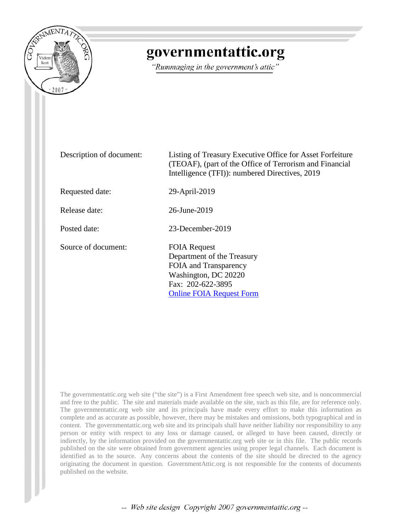

## governmentattic.org

"Rummaging in the government's attic"

Description of document: Listing of Treasury Executive Office for Asset Forfeiture (TEOAF), (part of the Office of Terrorism and Financial Intelligence (TFI)): numbered Directives, 2019 Requested date: 29-April-2019 Release date: 26-June-2019 Posted date: 23-December-2019 Source of document: FOIA Request Department of the Treasury FOIA and Transparency Washington, DC 20220 Fax: 202-622-3895 [Online FOIA Request Form](https://www.treasury.gov/foia/pages/gofoia.aspx)

The governmentattic.org web site ("the site") is a First Amendment free speech web site, and is noncommercial and free to the public. The site and materials made available on the site, such as this file, are for reference only. The governmentattic.org web site and its principals have made every effort to make this information as complete and as accurate as possible, however, there may be mistakes and omissions, both typographical and in content. The governmentattic.org web site and its principals shall have neither liability nor responsibility to any person or entity with respect to any loss or damage caused, or alleged to have been caused, directly or indirectly, by the information provided on the governmentattic.org web site or in this file. The public records published on the site were obtained from government agencies using proper legal channels. Each document is identified as to the source. Any concerns about the contents of the site should be directed to the agency originating the document in question. GovernmentAttic.org is not responsible for the contents of documents published on the website.

-- Web site design Copyright 2007 governmentattic.org --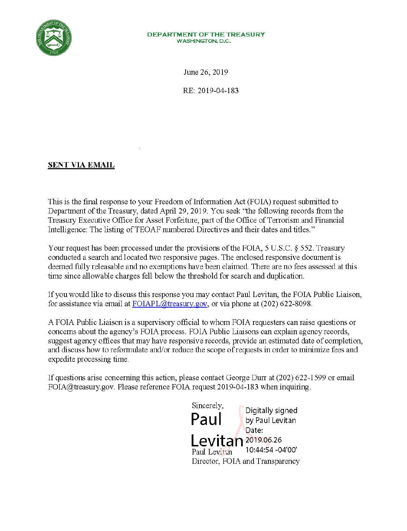

## **DEPARTMENTOFTHETREASURY WASHINGTON, D.C.**

June 26, 2019

RE: 2019-04-183

## **SENT VIA EMAIL**

This is the final response to your Freedom of Information Act (FOIA) request submitted to Department of the Treasury, dated April 29, 2019. You seek "the following records from the Treasury Executive Office for Asset Forfeiture, part of the Office of Terrorism and Financial Intelligence: The listing of TEOAF numbered Directives and their dates and titles."

Your request has been processed under the provisions of the FOIA, 5 U.S.C. § 552. Treasury conducted a search and located two responsive pages. The enclosed responsive document is deemed fully releasable and no exemptions have been claimed. There are no fees assessed at this time since allowable charges fell below the threshold for search and duplication.

If you would like to discuss this response you may contact Paul Levitan, the FOIA Public Liaison, for assistance via email at FOIAPL@treasury.gov, or via phone at (202) 622-8098.

A FOIA Public Liaison is a supervisory official to whom FOIA requesters can raise questions or concerns about the agency's FOIA process. FOIA Public Liaisons can explain agency records, suggest agency offices that may have responsive records, provide an estimated date of completion, and discuss how to reformulate and/or reduce the scope ofrequests in order to minimize fees and expedite processing time.

If questions arise concerning this action, please contact George Durr at (202) 622-1599 or email FOIA@treasury.gov. Please reference FOIA request 2019-04-183 when inquiring.

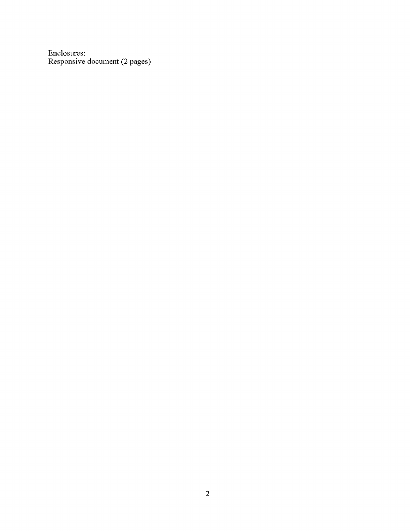Enclosures: Responsive document (2 pages)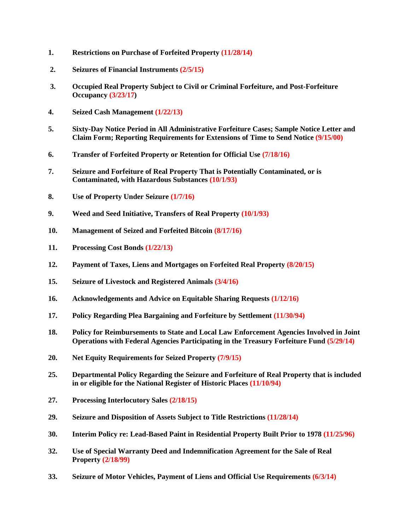- **1. Restrictions on Purchase of Forfeited Property (11/28/14)**
- **2. Seizures of Financial Instruments (2/5/15)**
- **3. Occupied Real Property Subject to Civil or Criminal Forfeiture, and Post-Forfeiture Occupancy (3/23/17)**
- **4. Seized Cash Management (1/22/13)**
- **5. Sixty-Day Notice Period in All Administrative Forfeiture Cases; Sample Notice Letter and Claim Form; Reporting Requirements for Extensions of Time to Send Notice (9/15/00)**
- **6. Transfer of Forfeited Property or Retention for Official Use (7/18/16)**
- **7. Seizure and Forfeiture of Real Property That is Potentially Contaminated, or is Contaminated, with Hazardous Substances (10/1/93)**
- **8. Use of Property Under Seizure (1/7/16)**
- **9. Weed and Seed Initiative, Transfers of Real Property (10/1/93)**
- **10. Management of Seized and Forfeited Bitcoin (8/17/16)**
- **11. Processing Cost Bonds (1/22/13)**
- **12. Payment of Taxes, Liens and Mortgages on Forfeited Real Property (8/20/15)**
- **15. Seizure of Livestock and Registered Animals (3/4/16)**
- **16. Acknowledgements and Advice on Equitable Sharing Requests (1/12/16)**
- **17. Policy Regarding Plea Bargaining and Forfeiture by Settlement (11/30/94)**
- **18. Policy for Reimbursements to State and Local Law Enforcement Agencies Involved in Joint Operations with Federal Agencies Participating in the Treasury Forfeiture Fund (5/29/14)**
- **20. Net Equity Requirements for Seized Property (7/9/15)**
- **25. Departmental Policy Regarding the Seizure and Forfeiture of Real Property that is included in or eligible for the National Register of Historic Places (11/10/94)**
- **27. Processing Interlocutory Sales (2/18/15)**
- **29. Seizure and Disposition of Assets Subject to Title Restrictions (11/28/14)**
- **30. Interim Policy re: Lead-Based Paint in Residential Property Built Prior to 1978 (11/25/96)**
- **32. Use of Special Warranty Deed and Indemnification Agreement for the Sale of Real Property (2/18/99)**
- **33. Seizure of Motor Vehicles, Payment of Liens and Official Use Requirements (6/3/14)**